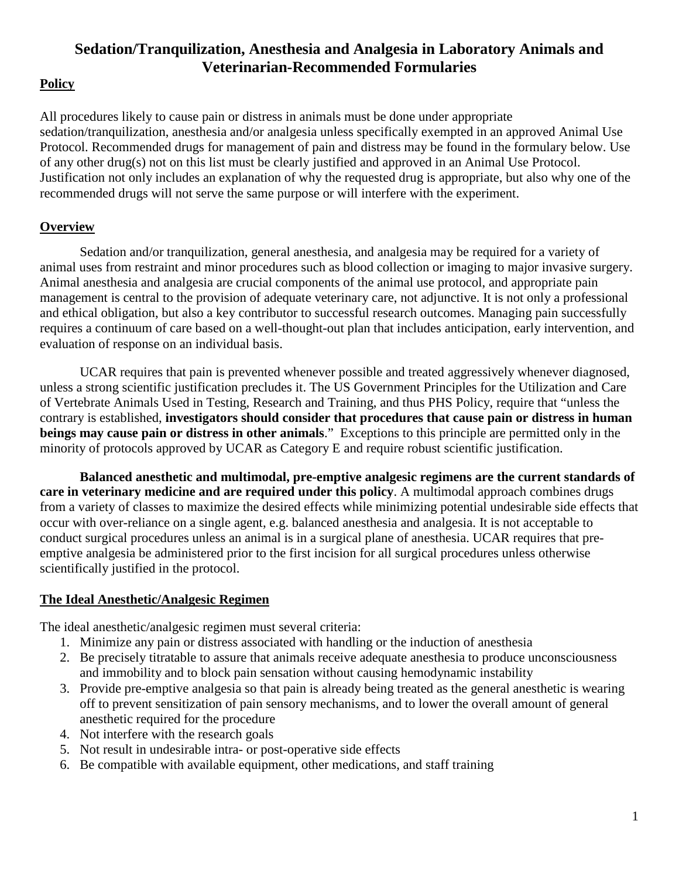# **Sedation/Tranquilization, Anesthesia and Analgesia in Laboratory Animals and Veterinarian-Recommended Formularies**

### **Policy**

All procedures likely to cause pain or distress in animals must be done under appropriate sedation/tranquilization, anesthesia and/or analgesia unless specifically exempted in an approved Animal Use Protocol. Recommended drugs for management of pain and distress may be found in the formulary below. Use of any other drug(s) not on this list must be clearly justified and approved in an Animal Use Protocol. Justification not only includes an explanation of why the requested drug is appropriate, but also why one of the recommended drugs will not serve the same purpose or will interfere with the experiment.

### **Overview**

Sedation and/or tranquilization, general anesthesia, and analgesia may be required for a variety of animal uses from restraint and minor procedures such as blood collection or imaging to major invasive surgery. Animal anesthesia and analgesia are crucial components of the animal use protocol, and appropriate pain management is central to the provision of adequate veterinary care, not adjunctive. It is not only a professional and ethical obligation, but also a key contributor to successful research outcomes. Managing pain successfully requires a continuum of care based on a well-thought-out plan that includes anticipation, early intervention, and evaluation of response on an individual basis.

UCAR requires that pain is prevented whenever possible and treated aggressively whenever diagnosed, unless a strong scientific justification precludes it. The US Government Principles for the Utilization and Care of Vertebrate Animals Used in Testing, Research and Training, and thus PHS Policy, require that "unless the contrary is established, **investigators should consider that procedures that cause pain or distress in human beings may cause pain or distress in other animals**." Exceptions to this principle are permitted only in the minority of protocols approved by UCAR as Category E and require robust scientific justification.

**Balanced anesthetic and multimodal, pre-emptive analgesic regimens are the current standards of care in veterinary medicine and are required under this policy**. A multimodal approach combines drugs from a variety of classes to maximize the desired effects while minimizing potential undesirable side effects that occur with over-reliance on a single agent, e.g. balanced anesthesia and analgesia. It is not acceptable to conduct surgical procedures unless an animal is in a surgical plane of anesthesia. UCAR requires that preemptive analgesia be administered prior to the first incision for all surgical procedures unless otherwise scientifically justified in the protocol.

#### **The Ideal Anesthetic/Analgesic Regimen**

The ideal anesthetic/analgesic regimen must several criteria:

- 1. Minimize any pain or distress associated with handling or the induction of anesthesia
- 2. Be precisely titratable to assure that animals receive adequate anesthesia to produce unconsciousness and immobility and to block pain sensation without causing hemodynamic instability
- 3. Provide pre-emptive analgesia so that pain is already being treated as the general anesthetic is wearing off to prevent sensitization of pain sensory mechanisms, and to lower the overall amount of general anesthetic required for the procedure
- 4. Not interfere with the research goals
- 5. Not result in undesirable intra- or post-operative side effects
- 6. Be compatible with available equipment, other medications, and staff training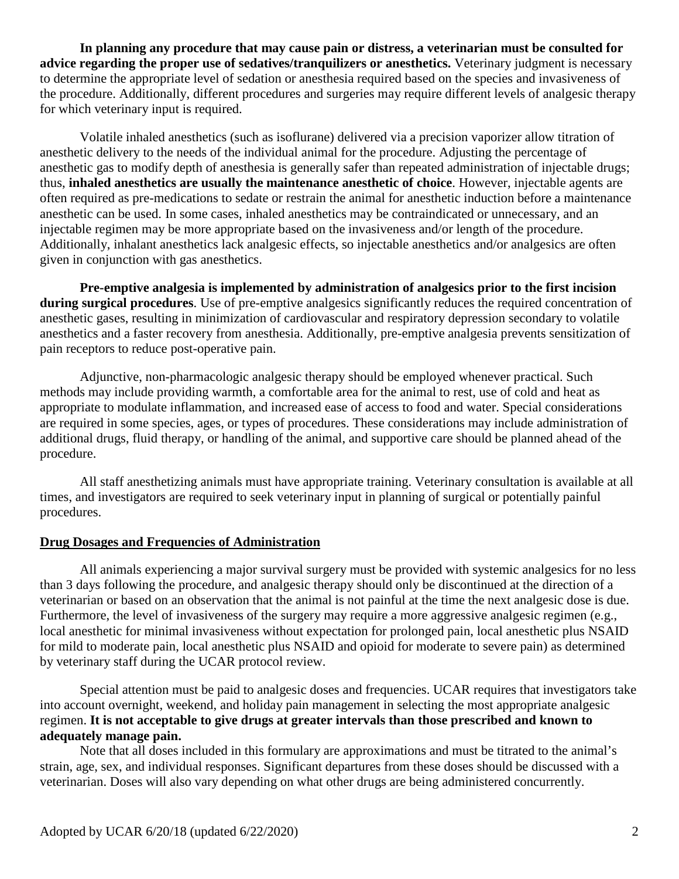**In planning any procedure that may cause pain or distress, a veterinarian must be consulted for advice regarding the proper use of sedatives/tranquilizers or anesthetics.** Veterinary judgment is necessary to determine the appropriate level of sedation or anesthesia required based on the species and invasiveness of the procedure. Additionally, different procedures and surgeries may require different levels of analgesic therapy for which veterinary input is required.

Volatile inhaled anesthetics (such as isoflurane) delivered via a precision vaporizer allow titration of anesthetic delivery to the needs of the individual animal for the procedure. Adjusting the percentage of anesthetic gas to modify depth of anesthesia is generally safer than repeated administration of injectable drugs; thus, **inhaled anesthetics are usually the maintenance anesthetic of choice**. However, injectable agents are often required as pre-medications to sedate or restrain the animal for anesthetic induction before a maintenance anesthetic can be used. In some cases, inhaled anesthetics may be contraindicated or unnecessary, and an injectable regimen may be more appropriate based on the invasiveness and/or length of the procedure. Additionally, inhalant anesthetics lack analgesic effects, so injectable anesthetics and/or analgesics are often given in conjunction with gas anesthetics.

**Pre-emptive analgesia is implemented by administration of analgesics prior to the first incision during surgical procedures**. Use of pre-emptive analgesics significantly reduces the required concentration of anesthetic gases, resulting in minimization of cardiovascular and respiratory depression secondary to volatile anesthetics and a faster recovery from anesthesia. Additionally, pre-emptive analgesia prevents sensitization of pain receptors to reduce post-operative pain.

Adjunctive, non-pharmacologic analgesic therapy should be employed whenever practical. Such methods may include providing warmth, a comfortable area for the animal to rest, use of cold and heat as appropriate to modulate inflammation, and increased ease of access to food and water. Special considerations are required in some species, ages, or types of procedures. These considerations may include administration of additional drugs, fluid therapy, or handling of the animal, and supportive care should be planned ahead of the procedure.

All staff anesthetizing animals must have appropriate training. Veterinary consultation is available at all times, and investigators are required to seek veterinary input in planning of surgical or potentially painful procedures.

#### **Drug Dosages and Frequencies of Administration**

All animals experiencing a major survival surgery must be provided with systemic analgesics for no less than 3 days following the procedure, and analgesic therapy should only be discontinued at the direction of a veterinarian or based on an observation that the animal is not painful at the time the next analgesic dose is due. Furthermore, the level of invasiveness of the surgery may require a more aggressive analgesic regimen (e.g., local anesthetic for minimal invasiveness without expectation for prolonged pain, local anesthetic plus NSAID for mild to moderate pain, local anesthetic plus NSAID and opioid for moderate to severe pain) as determined by veterinary staff during the UCAR protocol review.

Special attention must be paid to analgesic doses and frequencies. UCAR requires that investigators take into account overnight, weekend, and holiday pain management in selecting the most appropriate analgesic regimen. **It is not acceptable to give drugs at greater intervals than those prescribed and known to adequately manage pain.** 

Note that all doses included in this formulary are approximations and must be titrated to the animal's strain, age, sex, and individual responses. Significant departures from these doses should be discussed with a veterinarian. Doses will also vary depending on what other drugs are being administered concurrently.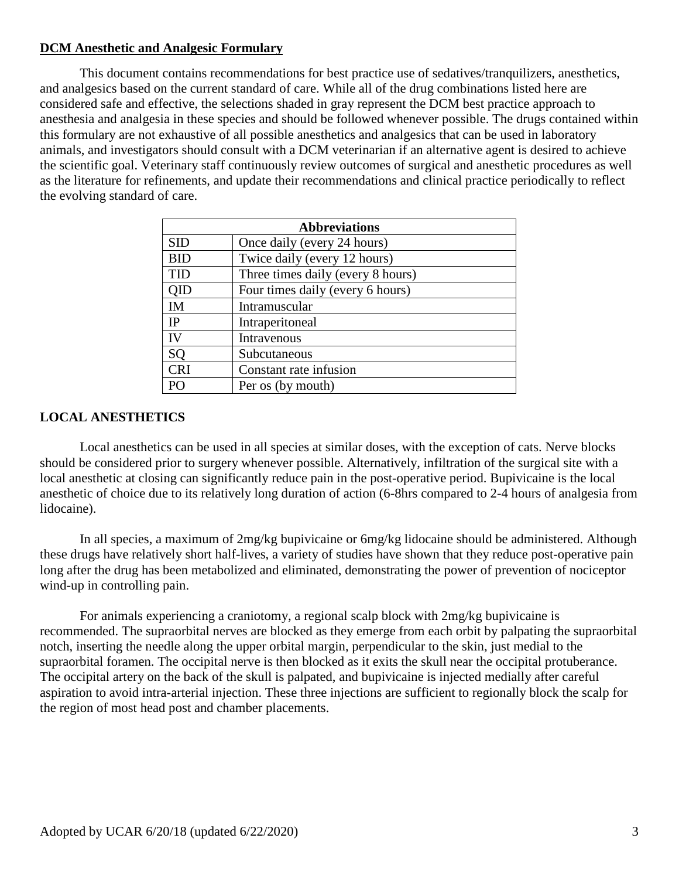#### **DCM Anesthetic and Analgesic Formulary**

This document contains recommendations for best practice use of sedatives/tranquilizers, anesthetics, and analgesics based on the current standard of care. While all of the drug combinations listed here are considered safe and effective, the selections shaded in gray represent the DCM best practice approach to anesthesia and analgesia in these species and should be followed whenever possible. The drugs contained within this formulary are not exhaustive of all possible anesthetics and analgesics that can be used in laboratory animals, and investigators should consult with a DCM veterinarian if an alternative agent is desired to achieve the scientific goal. Veterinary staff continuously review outcomes of surgical and anesthetic procedures as well as the literature for refinements, and update their recommendations and clinical practice periodically to reflect the evolving standard of care.

| <b>Abbreviations</b> |                                   |  |  |  |
|----------------------|-----------------------------------|--|--|--|
| SID                  | Once daily (every 24 hours)       |  |  |  |
| <b>BID</b>           | Twice daily (every 12 hours)      |  |  |  |
| TID                  | Three times daily (every 8 hours) |  |  |  |
| QID                  | Four times daily (every 6 hours)  |  |  |  |
| IM                   | Intramuscular                     |  |  |  |
| <b>IP</b>            | Intraperitoneal                   |  |  |  |
| IV                   | Intravenous                       |  |  |  |
| SO.                  | Subcutaneous                      |  |  |  |
| <b>CRI</b>           | Constant rate infusion            |  |  |  |
| PΟ                   | Per os (by mouth)                 |  |  |  |

#### **LOCAL ANESTHETICS**

Local anesthetics can be used in all species at similar doses, with the exception of cats. Nerve blocks should be considered prior to surgery whenever possible. Alternatively, infiltration of the surgical site with a local anesthetic at closing can significantly reduce pain in the post-operative period. Bupivicaine is the local anesthetic of choice due to its relatively long duration of action (6-8hrs compared to 2-4 hours of analgesia from lidocaine).

In all species, a maximum of 2mg/kg bupivicaine or 6mg/kg lidocaine should be administered. Although these drugs have relatively short half-lives, a variety of studies have shown that they reduce post-operative pain long after the drug has been metabolized and eliminated, demonstrating the power of prevention of nociceptor wind-up in controlling pain.

For animals experiencing a craniotomy, a regional scalp block with 2mg/kg bupivicaine is recommended. The supraorbital nerves are blocked as they emerge from each orbit by palpating the supraorbital notch, inserting the needle along the upper orbital margin, perpendicular to the skin, just medial to the supraorbital foramen. The occipital nerve is then blocked as it exits the skull near the occipital protuberance. The occipital artery on the back of the skull is palpated, and bupivicaine is injected medially after careful aspiration to avoid intra-arterial injection. These three injections are sufficient to regionally block the scalp for the region of most head post and chamber placements.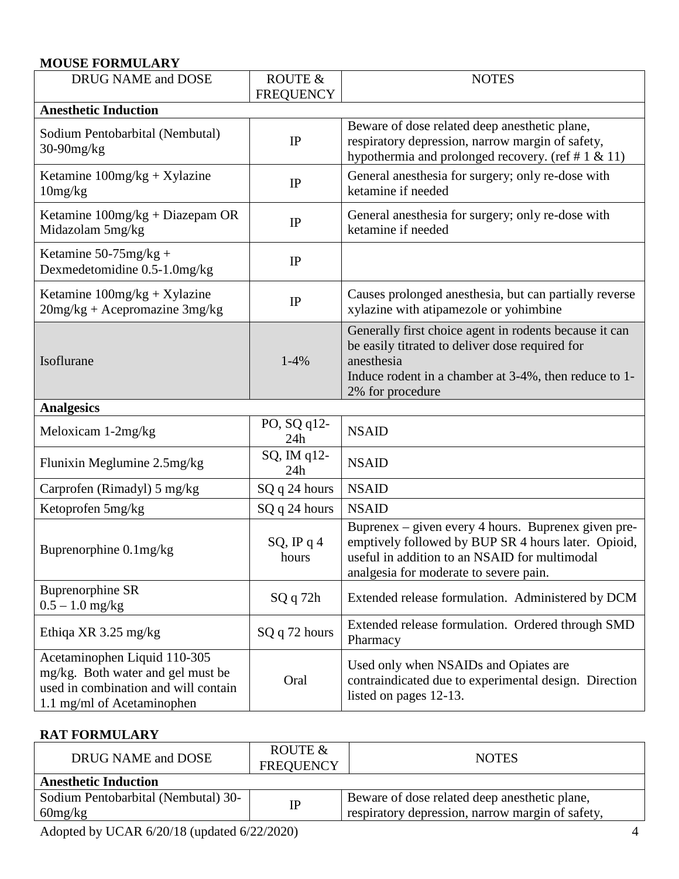## **MOUSE FORMULARY**

| DRUG NAME and DOSE                                                                                                                      | ROUTE &<br><b>FREQUENCY</b> | <b>NOTES</b>                                                                                                                                                                                          |  |  |  |  |
|-----------------------------------------------------------------------------------------------------------------------------------------|-----------------------------|-------------------------------------------------------------------------------------------------------------------------------------------------------------------------------------------------------|--|--|--|--|
| <b>Anesthetic Induction</b>                                                                                                             |                             |                                                                                                                                                                                                       |  |  |  |  |
| Sodium Pentobarbital (Nembutal)<br>$30-90$ mg/kg                                                                                        | IP                          | Beware of dose related deep anesthetic plane,<br>respiratory depression, narrow margin of safety,<br>hypothermia and prolonged recovery. (ref # $1 \& 11$ )                                           |  |  |  |  |
| Ketamine $100mg/kg + Xylazine$<br>10mg/kg                                                                                               | IP                          | General anesthesia for surgery; only re-dose with<br>ketamine if needed                                                                                                                               |  |  |  |  |
| Ketamine $100$ mg/kg + Diazepam OR<br>Midazolam 5mg/kg                                                                                  | IP                          | General anesthesia for surgery; only re-dose with<br>ketamine if needed                                                                                                                               |  |  |  |  |
| Ketamine $50-75$ mg/kg +<br>Dexmedetomidine 0.5-1.0mg/kg                                                                                | IP                          |                                                                                                                                                                                                       |  |  |  |  |
| Ketamine $100mg/kg + Xylazine$<br>$20$ mg/kg + Acepromazine $3$ mg/kg                                                                   | IP                          | Causes prolonged anesthesia, but can partially reverse<br>xylazine with atipamezole or yohimbine                                                                                                      |  |  |  |  |
| Isoflurane                                                                                                                              | $1-4%$                      | Generally first choice agent in rodents because it can<br>be easily titrated to deliver dose required for<br>anesthesia<br>Induce rodent in a chamber at 3-4%, then reduce to 1-<br>2% for procedure  |  |  |  |  |
| <b>Analgesics</b>                                                                                                                       |                             |                                                                                                                                                                                                       |  |  |  |  |
| Meloxicam 1-2mg/kg                                                                                                                      | PO, SQ q12-<br>24h          | <b>NSAID</b>                                                                                                                                                                                          |  |  |  |  |
| Flunixin Meglumine 2.5mg/kg                                                                                                             | SQ, IM q12-<br>24h          | <b>NSAID</b>                                                                                                                                                                                          |  |  |  |  |
| Carprofen (Rimadyl) 5 mg/kg                                                                                                             | SQ q 24 hours               | <b>NSAID</b>                                                                                                                                                                                          |  |  |  |  |
| Ketoprofen 5mg/kg                                                                                                                       | SQ q 24 hours               | <b>NSAID</b>                                                                                                                                                                                          |  |  |  |  |
| Buprenorphine 0.1mg/kg                                                                                                                  | $SQ$ , IP q 4<br>hours      | Buprenex – given every 4 hours. Buprenex given pre-<br>emptively followed by BUP SR 4 hours later. Opioid,<br>useful in addition to an NSAID for multimodal<br>analgesia for moderate to severe pain. |  |  |  |  |
| <b>Buprenorphine SR</b><br>$0.5 - 1.0$ mg/kg                                                                                            | SQq72h                      | Extended release formulation. Administered by DCM                                                                                                                                                     |  |  |  |  |
| Ethiqa XR 3.25 mg/kg                                                                                                                    | SQ q 72 hours               | Extended release formulation. Ordered through SMD<br>Pharmacy                                                                                                                                         |  |  |  |  |
| Acetaminophen Liquid 110-305<br>mg/kg. Both water and gel must be<br>used in combination and will contain<br>1.1 mg/ml of Acetaminophen | Oral                        | Used only when NSAIDs and Opiates are<br>contraindicated due to experimental design. Direction<br>listed on pages 12-13.                                                                              |  |  |  |  |

# **RAT FORMULARY**

| DRUG NAME and DOSE                             | ROUTE &<br><b>FREQUENCY</b> | <b>NOTES</b>                                                                                      |
|------------------------------------------------|-----------------------------|---------------------------------------------------------------------------------------------------|
| <b>Anesthetic Induction</b>                    |                             |                                                                                                   |
| Sodium Pentobarbital (Nembutal) 30-<br>60mg/kg | <b>IP</b>                   | Beware of dose related deep anesthetic plane,<br>respiratory depression, narrow margin of safety, |
|                                                |                             |                                                                                                   |

Adopted by UCAR 6/20/18 (updated 6/22/2020) 4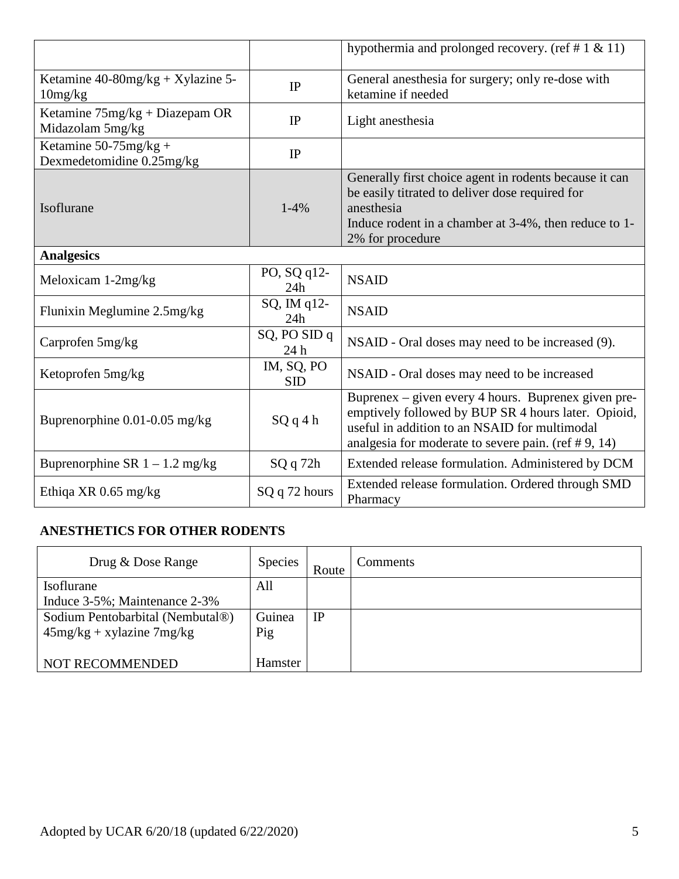|                                                       |                          | hypothermia and prolonged recovery. (ref # 1 $\&$ 11)                                                                                                                                                                 |
|-------------------------------------------------------|--------------------------|-----------------------------------------------------------------------------------------------------------------------------------------------------------------------------------------------------------------------|
| Ketamine $40-80$ mg/kg + Xylazine 5-<br>10mg/kg       | IP                       | General anesthesia for surgery; only re-dose with<br>ketamine if needed                                                                                                                                               |
| Ketamine 75mg/kg + Diazepam OR<br>Midazolam 5mg/kg    | IP                       | Light anesthesia                                                                                                                                                                                                      |
| Ketamine $50-75$ mg/kg +<br>Dexmedetomidine 0.25mg/kg | IP                       |                                                                                                                                                                                                                       |
| Isoflurane                                            | $1-4%$                   | Generally first choice agent in rodents because it can<br>be easily titrated to deliver dose required for<br>anesthesia<br>Induce rodent in a chamber at 3-4%, then reduce to 1-<br>2% for procedure                  |
| <b>Analgesics</b>                                     |                          |                                                                                                                                                                                                                       |
| Meloxicam 1-2mg/kg                                    | PO, SQ q12-<br>24h       | <b>NSAID</b>                                                                                                                                                                                                          |
| Flunixin Meglumine 2.5mg/kg                           | SQ, IM q12-<br>24h       | <b>NSAID</b>                                                                                                                                                                                                          |
| Carprofen 5mg/kg                                      | SQ, PO SID q<br>24 h     | NSAID - Oral doses may need to be increased (9).                                                                                                                                                                      |
| Ketoprofen 5mg/kg                                     | IM, SQ, PO<br><b>SID</b> | NSAID - Oral doses may need to be increased                                                                                                                                                                           |
| Buprenorphine 0.01-0.05 mg/kg                         | SQq4h                    | Buprenex – given every 4 hours. Buprenex given pre-<br>emptively followed by BUP SR 4 hours later. Opioid,<br>useful in addition to an NSAID for multimodal<br>analgesia for moderate to severe pain. (ref $#9$ , 14) |
| Buprenorphine SR $1 - 1.2$ mg/kg                      | SQ q 72h                 | Extended release formulation. Administered by DCM                                                                                                                                                                     |
| Ethiqa XR $0.65$ mg/kg                                | SQ q 72 hours            | Extended release formulation. Ordered through SMD<br>Pharmacy                                                                                                                                                         |

# **ANESTHETICS FOR OTHER RODENTS**

| Drug & Dose Range                | <b>Species</b> | Route | <b>Comments</b> |
|----------------------------------|----------------|-------|-----------------|
| Isoflurane                       | All            |       |                 |
| Induce 3-5%; Maintenance 2-3%    |                |       |                 |
| Sodium Pentobarbital (Nembutal®) | Guinea         | IP    |                 |
| $45mg/kg + xylazine 7mg/kg$      | Pig            |       |                 |
|                                  |                |       |                 |
| NOT RECOMMENDED                  | Hamster        |       |                 |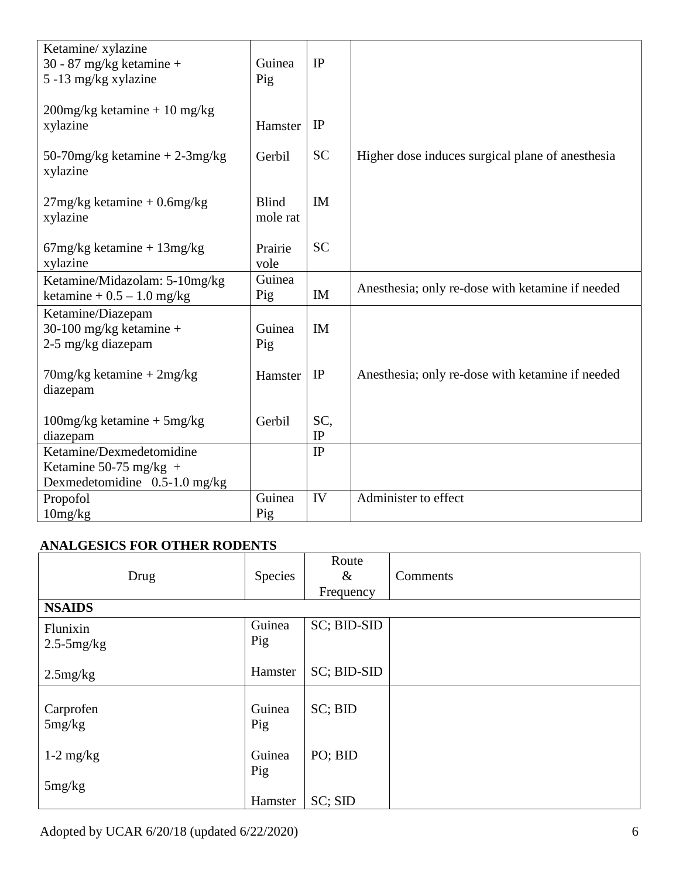| Ketamine/ xylazine                 |              |           |                                                  |
|------------------------------------|--------------|-----------|--------------------------------------------------|
| 30 - 87 mg/kg ketamine +           | Guinea       | IP        |                                                  |
| 5 -13 mg/kg xylazine               | Pig          |           |                                                  |
|                                    |              |           |                                                  |
| $200$ mg/kg ketamine + 10 mg/kg    |              |           |                                                  |
| xylazine                           | Hamster      | IP        |                                                  |
|                                    |              |           |                                                  |
| 50-70 mg/kg ketamine $+2$ -3 mg/kg | Gerbil       | <b>SC</b> | Higher dose induces surgical plane of anesthesia |
| xylazine                           |              |           |                                                  |
|                                    |              |           |                                                  |
| $27mg/kg$ ketamine + 0.6mg/kg      | <b>Blind</b> | IM        |                                                  |
| xylazine                           | mole rat     |           |                                                  |
|                                    |              |           |                                                  |
| $67mg/kg$ ketamine + $13mg/kg$     | Prairie      | <b>SC</b> |                                                  |
| xylazine                           | vole         |           |                                                  |
| Ketamine/Midazolam: 5-10mg/kg      | Guinea       |           |                                                  |
| ketamine + $0.5 - 1.0$ mg/kg       | Pig          | IM        | Anesthesia; only re-dose with ketamine if needed |
| Ketamine/Diazepam                  |              |           |                                                  |
| 30-100 mg/kg ketamine +            | Guinea       | <b>IM</b> |                                                  |
| 2-5 mg/kg diazepam                 | Pig          |           |                                                  |
|                                    |              |           |                                                  |
| $70$ mg/kg ketamine + $2$ mg/kg    | Hamster      | IP        | Anesthesia; only re-dose with ketamine if needed |
| diazepam                           |              |           |                                                  |
|                                    |              |           |                                                  |
| $100mg/kg$ ketamine + 5mg/kg       | Gerbil       | SC,       |                                                  |
| diazepam                           |              | IP        |                                                  |
| Ketamine/Dexmedetomidine           |              | IP        |                                                  |
| Ketamine 50-75 mg/kg +             |              |           |                                                  |
| Dexmedetomidine $0.5-1.0$ mg/kg    |              |           |                                                  |
| Propofol                           | Guinea       | IV        | Administer to effect                             |
| 10mg/kg                            | Pig          |           |                                                  |

## **ANALGESICS FOR OTHER RODENTS**

|                 |         | Route       |          |
|-----------------|---------|-------------|----------|
| Drug            | Species | $\&$        | Comments |
|                 |         | Frequency   |          |
| <b>NSAIDS</b>   |         |             |          |
| Flunixin        | Guinea  | SC; BID-SID |          |
| $2.5 - 5$ mg/kg | Pig     |             |          |
|                 |         |             |          |
| 2.5mg/kg        | Hamster | SC; BID-SID |          |
|                 |         |             |          |
| Carprofen       | Guinea  | SC; BID     |          |
| 5mg/kg          | Pig     |             |          |
|                 |         |             |          |
| $1-2$ mg/kg     | Guinea  | PO; BID     |          |
|                 | Pig     |             |          |
| 5mg/kg          |         |             |          |
|                 | Hamster | SC; SID     |          |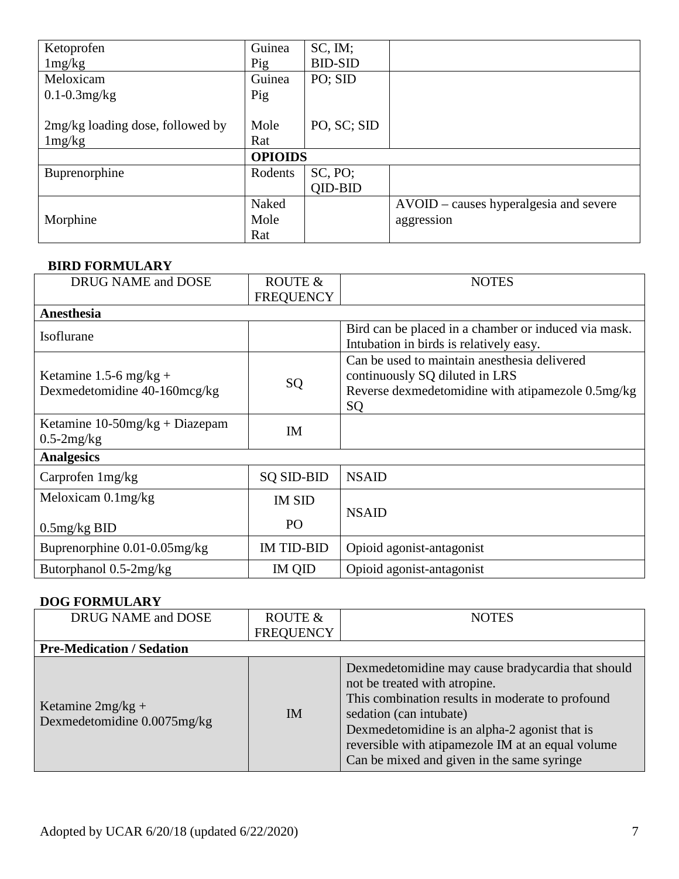| Ketoprofen                       | Guinea         | SC, IM;        |                                        |
|----------------------------------|----------------|----------------|----------------------------------------|
| 1mg/kg                           | Pig            | <b>BID-SID</b> |                                        |
| Meloxicam                        | Guinea         | PO; SID        |                                        |
| $0.1 - 0.3$ mg/kg                | Pig            |                |                                        |
|                                  |                |                |                                        |
| 2mg/kg loading dose, followed by | Mole           | PO, SC; SID    |                                        |
| 1mg/kg                           | Rat            |                |                                        |
|                                  | <b>OPIOIDS</b> |                |                                        |
| Buprenorphine                    | Rodents        | SC, PO;        |                                        |
|                                  |                | QID-BID        |                                        |
|                                  | Naked          |                | AVOID – causes hyperalgesia and severe |
| Morphine                         | Mole           |                | aggression                             |
|                                  | Rat            |                |                                        |

#### **BIRD FORMULARY**

| DRUG NAME and DOSE                                     | <b>ROUTE &amp;</b><br><b>FREQUENCY</b> | <b>NOTES</b>                                                                                                                              |
|--------------------------------------------------------|----------------------------------------|-------------------------------------------------------------------------------------------------------------------------------------------|
| Anesthesia                                             |                                        |                                                                                                                                           |
| Isoflurane                                             |                                        | Bird can be placed in a chamber or induced via mask.<br>Intubation in birds is relatively easy.                                           |
| Ketamine 1.5-6 mg/kg +<br>Dexmedetomidine 40-160mcg/kg | SQ                                     | Can be used to maintain anesthesia delivered<br>continuously SQ diluted in LRS<br>Reverse dexmedetomidine with atipamezole 0.5mg/kg<br>SQ |
| Ketamine $10-50mg/kg + Diazepam$<br>$0.5-2mg/kg$       | <b>IM</b>                              |                                                                                                                                           |
| <b>Analgesics</b>                                      |                                        |                                                                                                                                           |
| Carprofen 1mg/kg                                       | <b>SQ SID-BID</b>                      | <b>NSAID</b>                                                                                                                              |
| Meloxicam $0.1$ mg/kg                                  | <b>IM SID</b>                          | <b>NSAID</b>                                                                                                                              |
| $0.5$ mg/kg BID                                        | PO                                     |                                                                                                                                           |
| Buprenorphine $0.01 - 0.05$ mg/kg                      | <b>IM TID-BID</b>                      | Opioid agonist-antagonist                                                                                                                 |
| Butorphanol 0.5-2mg/kg                                 | IM QID                                 | Opioid agonist-antagonist                                                                                                                 |

## **DOG FORMULARY**

| DRUG NAME and DOSE                                 | ROUTE &          | <b>NOTES</b>                                                                                                                                                                                                                                                                                                          |
|----------------------------------------------------|------------------|-----------------------------------------------------------------------------------------------------------------------------------------------------------------------------------------------------------------------------------------------------------------------------------------------------------------------|
|                                                    | <b>FREQUENCY</b> |                                                                                                                                                                                                                                                                                                                       |
| <b>Pre-Medication / Sedation</b>                   |                  |                                                                                                                                                                                                                                                                                                                       |
| Ketamine $2mg/kg +$<br>Dexmedetomidine 0.0075mg/kg | IM.              | Dexmedetomidine may cause bradycardia that should<br>not be treated with atropine.<br>This combination results in moderate to profound<br>sedation (can intubate)<br>Dexmedetomidine is an alpha-2 agonist that is<br>reversible with atipamezole IM at an equal volume<br>Can be mixed and given in the same syringe |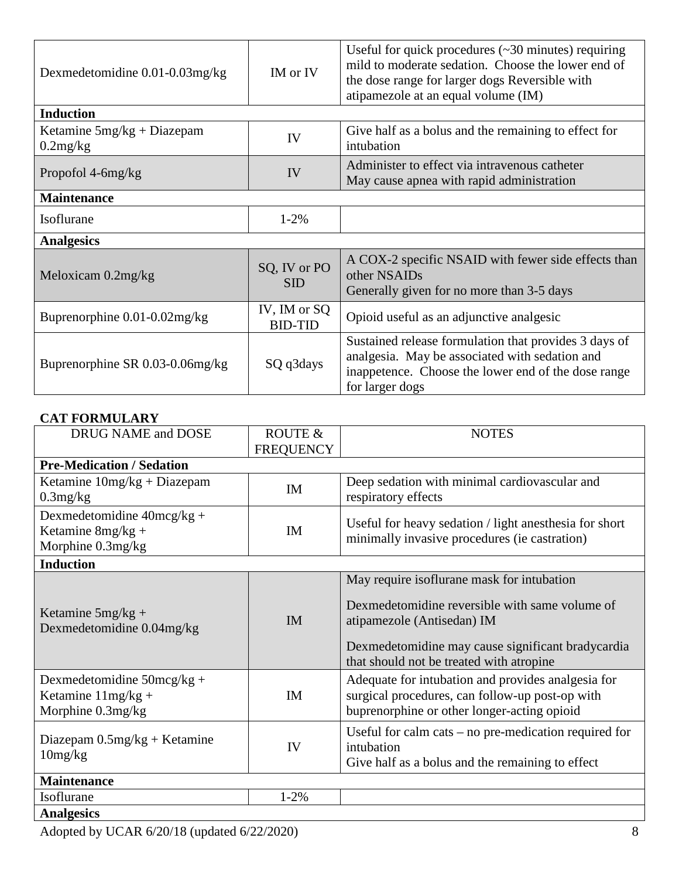| Dexmedetomidine $0.01 - 0.03$ mg/kg                            | IM or IV                   | Useful for quick procedures $(\sim 30 \text{ minutes})$ requiring<br>mild to moderate sedation. Choose the lower end of<br>the dose range for larger dogs Reversible with<br>atipamezole at an equal volume (IM) |  |  |  |
|----------------------------------------------------------------|----------------------------|------------------------------------------------------------------------------------------------------------------------------------------------------------------------------------------------------------------|--|--|--|
| <b>Induction</b>                                               |                            |                                                                                                                                                                                                                  |  |  |  |
| Ketamine $5mg/kg + Diazepam$<br>IV<br>0.2mg/kg                 |                            | Give half as a bolus and the remaining to effect for<br>intubation                                                                                                                                               |  |  |  |
| Propofol 4-6mg/kg                                              | IV                         | Administer to effect via intravenous catheter<br>May cause apnea with rapid administration                                                                                                                       |  |  |  |
| <b>Maintenance</b>                                             |                            |                                                                                                                                                                                                                  |  |  |  |
| Isoflurane                                                     | $1 - 2\%$                  |                                                                                                                                                                                                                  |  |  |  |
| <b>Analgesics</b>                                              |                            |                                                                                                                                                                                                                  |  |  |  |
| Meloxicam $0.2mg/kg$                                           | SQ, IV or PO<br><b>SID</b> | A COX-2 specific NSAID with fewer side effects than<br>other NSAIDs<br>Generally given for no more than 3-5 days                                                                                                 |  |  |  |
| IV, IM or SQ<br>Buprenorphine 0.01-0.02mg/kg<br><b>BID-TID</b> |                            | Opioid useful as an adjunctive analgesic                                                                                                                                                                         |  |  |  |
| Buprenorphine SR $0.03$ - $0.06$ mg/kg                         | SQ q3days                  | Sustained release formulation that provides 3 days of<br>analgesia. May be associated with sedation and<br>inappetence. Choose the lower end of the dose range<br>for larger dogs                                |  |  |  |

### **CAT FORMULARY**

| DRUG NAME and DOSE                                                                | ROUTE &<br><b>FREQUENCY</b> | <b>NOTES</b>                                                                                                                                                                                                                |  |  |  |  |
|-----------------------------------------------------------------------------------|-----------------------------|-----------------------------------------------------------------------------------------------------------------------------------------------------------------------------------------------------------------------------|--|--|--|--|
| <b>Pre-Medication / Sedation</b>                                                  |                             |                                                                                                                                                                                                                             |  |  |  |  |
| Ketamine $10mg/kg + Diazepam$<br>$0.3$ mg/ $kg$                                   | <b>IM</b>                   | Deep sedation with minimal cardiovascular and<br>respiratory effects                                                                                                                                                        |  |  |  |  |
| Dexmedetomidine $40 \text{mcg/kg} +$<br>Ketamine 8mg/kg +<br>Morphine 0.3mg/kg    | <b>IM</b>                   | Useful for heavy sedation / light anesthesia for short<br>minimally invasive procedures (ie castration)                                                                                                                     |  |  |  |  |
| <b>Induction</b>                                                                  |                             |                                                                                                                                                                                                                             |  |  |  |  |
| Ketamine $5mg/kg +$<br>Dexmedetomidine 0.04mg/kg                                  | <b>IM</b>                   | May require isoflurane mask for intubation<br>Dexmedetomidine reversible with same volume of<br>atipamezole (Antisedan) IM<br>Dexmedetomidine may cause significant bradycardia<br>that should not be treated with atropine |  |  |  |  |
| Dexmedetomidine $50 \text{mcg/kg} +$<br>Ketamine $11mg/kg +$<br>Morphine 0.3mg/kg | IM                          | Adequate for intubation and provides analgesia for<br>surgical procedures, can follow-up post-op with<br>buprenorphine or other longer-acting opioid                                                                        |  |  |  |  |
| Diazepam $0.5$ mg/kg + Ketamine<br>10mg/kg                                        | IV                          | Useful for calm cats $-$ no pre-medication required for<br>intubation<br>Give half as a bolus and the remaining to effect                                                                                                   |  |  |  |  |
| <b>Maintenance</b>                                                                |                             |                                                                                                                                                                                                                             |  |  |  |  |
| Isoflurane                                                                        | $1 - 2%$                    |                                                                                                                                                                                                                             |  |  |  |  |
| <b>Analgesics</b>                                                                 |                             |                                                                                                                                                                                                                             |  |  |  |  |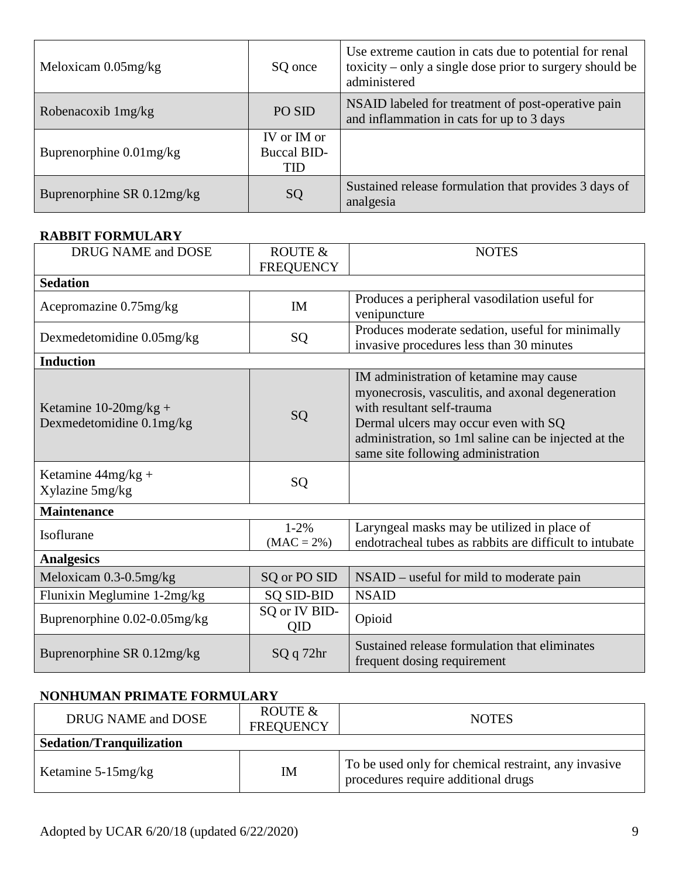| Meloxicam $0.05$ mg/kg     | SQ once                                  | Use extreme caution in cats due to potential for renal<br>toxicity – only a single dose prior to surgery should be<br>administered |
|----------------------------|------------------------------------------|------------------------------------------------------------------------------------------------------------------------------------|
| Robenacoxib 1mg/kg         | PO SID                                   | NSAID labeled for treatment of post-operative pain<br>and inflammation in cats for up to 3 days                                    |
| Buprenorphine $0.01$ mg/kg | IV or IM or<br><b>Buccal BID-</b><br>TID |                                                                                                                                    |
| Buprenorphine SR 0.12mg/kg | SQ                                       | Sustained release formulation that provides 3 days of<br>analgesia                                                                 |

### **RABBIT FORMULARY**

| DRUG NAME and DOSE                                   | ROUTE &<br><b>FREQUENCY</b> | <b>NOTES</b>                                                                                                                                                                                                                                                    |  |  |
|------------------------------------------------------|-----------------------------|-----------------------------------------------------------------------------------------------------------------------------------------------------------------------------------------------------------------------------------------------------------------|--|--|
| <b>Sedation</b>                                      |                             |                                                                                                                                                                                                                                                                 |  |  |
| Acepromazine 0.75mg/kg                               | <b>IM</b>                   | Produces a peripheral vasodilation useful for<br>venipuncture                                                                                                                                                                                                   |  |  |
| Dexmedetomidine 0.05mg/kg                            | SQ                          | Produces moderate sedation, useful for minimally<br>invasive procedures less than 30 minutes                                                                                                                                                                    |  |  |
| <b>Induction</b>                                     |                             |                                                                                                                                                                                                                                                                 |  |  |
| Ketamine $10-20$ mg/kg +<br>Dexmedetomidine 0.1mg/kg | SQ                          | IM administration of ketamine may cause<br>myonecrosis, vasculitis, and axonal degeneration<br>with resultant self-trauma<br>Dermal ulcers may occur even with SQ<br>administration, so 1ml saline can be injected at the<br>same site following administration |  |  |
| Ketamine $44mg/kg +$<br>Xylazine 5mg/kg              | SQ                          |                                                                                                                                                                                                                                                                 |  |  |
| <b>Maintenance</b>                                   |                             |                                                                                                                                                                                                                                                                 |  |  |
| Isoflurane                                           | $1 - 2%$<br>$(MAC = 2\%)$   | Laryngeal masks may be utilized in place of<br>endotracheal tubes as rabbits are difficult to intubate                                                                                                                                                          |  |  |
| <b>Analgesics</b>                                    |                             |                                                                                                                                                                                                                                                                 |  |  |
| Meloxicam $0.3$ - $0.5$ mg/kg                        | SQ or PO SID                | $NSAID$ – useful for mild to moderate pain                                                                                                                                                                                                                      |  |  |
| Flunixin Meglumine 1-2mg/kg                          | <b>SQ SID-BID</b>           | <b>NSAID</b>                                                                                                                                                                                                                                                    |  |  |
| Buprenorphine 0.02-0.05mg/kg                         | SQ or IV BID-<br>QID        | Opioid                                                                                                                                                                                                                                                          |  |  |
| Buprenorphine SR 0.12mg/kg                           | SQ q 72hr                   | Sustained release formulation that eliminates<br>frequent dosing requirement                                                                                                                                                                                    |  |  |

## **NONHUMAN PRIMATE FORMULARY**

| DRUG NAME and DOSE              | ROUTE &<br><b>FREQUENCY</b> | <b>NOTES</b>                                                                                |  |  |
|---------------------------------|-----------------------------|---------------------------------------------------------------------------------------------|--|--|
| <b>Sedation/Tranquilization</b> |                             |                                                                                             |  |  |
| Ketamine $5-15$ mg/kg           | IM                          | To be used only for chemical restraint, any invasive<br>procedures require additional drugs |  |  |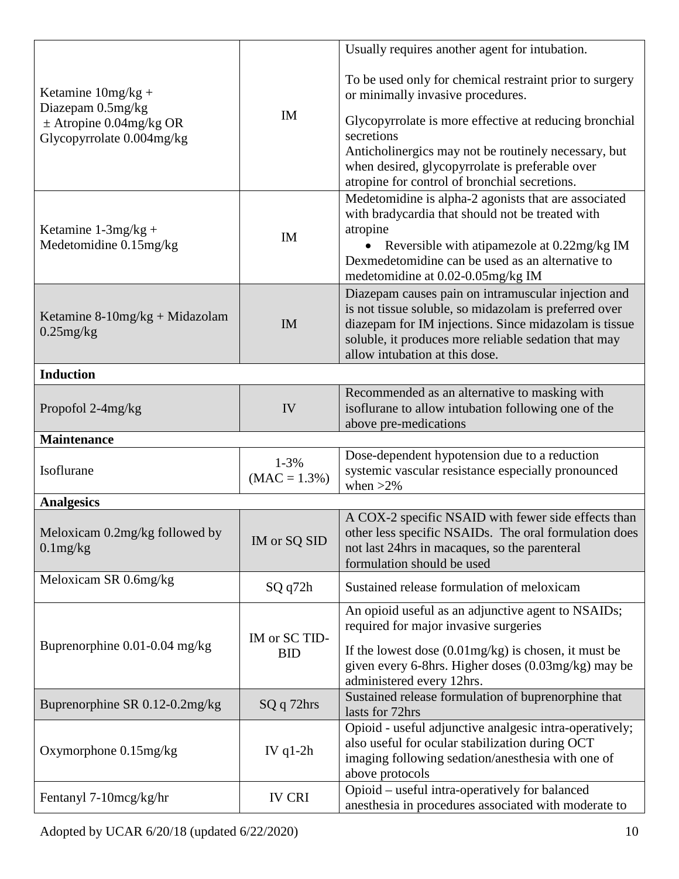| Ketamine $10mg/kg +$<br>Diazepam 0.5mg/kg<br>$\pm$ Atropine 0.04mg/kg OR<br>Glycopyrrolate 0.004mg/kg | IM                          | Usually requires another agent for intubation.<br>To be used only for chemical restraint prior to surgery<br>or minimally invasive procedures.<br>Glycopyrrolate is more effective at reducing bronchial<br>secretions<br>Anticholinergics may not be routinely necessary, but<br>when desired, glycopyrrolate is preferable over<br>atropine for control of bronchial secretions. |  |  |
|-------------------------------------------------------------------------------------------------------|-----------------------------|------------------------------------------------------------------------------------------------------------------------------------------------------------------------------------------------------------------------------------------------------------------------------------------------------------------------------------------------------------------------------------|--|--|
| Ketamine $1-3mg/kg +$<br>Medetomidine 0.15mg/kg                                                       | IM                          | Medetomidine is alpha-2 agonists that are associated<br>with bradycardia that should not be treated with<br>atropine<br>Reversible with atipamezole at 0.22mg/kg IM<br>Dexmedetomidine can be used as an alternative to<br>medetomidine at 0.02-0.05mg/kg IM                                                                                                                       |  |  |
| Ketamine $8-10$ mg/kg + Midazolam<br>$0.25$ mg/kg                                                     | <b>IM</b>                   | Diazepam causes pain on intramuscular injection and<br>is not tissue soluble, so midazolam is preferred over<br>diazepam for IM injections. Since midazolam is tissue<br>soluble, it produces more reliable sedation that may<br>allow intubation at this dose.                                                                                                                    |  |  |
| <b>Induction</b>                                                                                      |                             |                                                                                                                                                                                                                                                                                                                                                                                    |  |  |
| Propofol 2-4mg/kg                                                                                     | IV                          | Recommended as an alternative to masking with<br>isoflurane to allow intubation following one of the<br>above pre-medications                                                                                                                                                                                                                                                      |  |  |
| <b>Maintenance</b>                                                                                    |                             |                                                                                                                                                                                                                                                                                                                                                                                    |  |  |
| Isoflurane                                                                                            | $1 - 3%$<br>$(MAC = 1.3\%)$ | Dose-dependent hypotension due to a reduction<br>systemic vascular resistance especially pronounced<br>when $>2\%$                                                                                                                                                                                                                                                                 |  |  |
|                                                                                                       |                             |                                                                                                                                                                                                                                                                                                                                                                                    |  |  |
| <b>Analgesics</b>                                                                                     |                             |                                                                                                                                                                                                                                                                                                                                                                                    |  |  |
| Meloxicam 0.2mg/kg followed by<br>$0.1$ mg/ $kg$                                                      | IM or SQ SID                | A COX-2 specific NSAID with fewer side effects than<br>other less specific NSAIDs. The oral formulation does<br>not last 24hrs in macaques, so the parenteral<br>formulation should be used                                                                                                                                                                                        |  |  |
| Meloxicam SR 0.6mg/kg                                                                                 | SQ q72h                     | Sustained release formulation of meloxicam                                                                                                                                                                                                                                                                                                                                         |  |  |
| Buprenorphine 0.01-0.04 mg/kg                                                                         | IM or SC TID-<br><b>BID</b> | An opioid useful as an adjunctive agent to NSAIDs;<br>required for major invasive surgeries<br>If the lowest dose $(0.01 \text{mg/kg})$ is chosen, it must be<br>given every 6-8hrs. Higher doses (0.03mg/kg) may be<br>administered every 12hrs.                                                                                                                                  |  |  |
| Buprenorphine SR 0.12-0.2mg/kg                                                                        | SQ q 72hrs                  | Sustained release formulation of buprenorphine that<br>lasts for 72hrs                                                                                                                                                                                                                                                                                                             |  |  |
| Oxymorphone 0.15mg/kg                                                                                 | IV $q1-2h$                  | Opioid - useful adjunctive analgesic intra-operatively;<br>also useful for ocular stabilization during OCT<br>imaging following sedation/anesthesia with one of<br>above protocols                                                                                                                                                                                                 |  |  |

Adopted by UCAR 6/20/18 (updated 6/22/2020) 10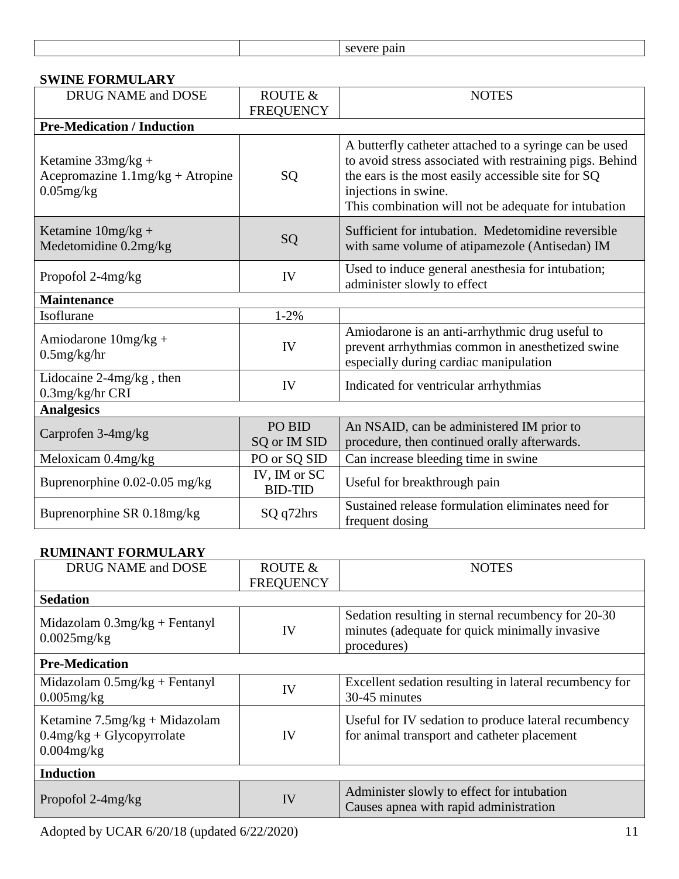| severe pain |  |
|-------------|--|
|             |  |

| SWINE FORMULARY                                                                           |                                |                                                                                                                                                                                                                                                          |  |  |  |
|-------------------------------------------------------------------------------------------|--------------------------------|----------------------------------------------------------------------------------------------------------------------------------------------------------------------------------------------------------------------------------------------------------|--|--|--|
| DRUG NAME and DOSE                                                                        | ROUTE $\&$                     | <b>NOTES</b>                                                                                                                                                                                                                                             |  |  |  |
|                                                                                           | <b>FREQUENCY</b>               |                                                                                                                                                                                                                                                          |  |  |  |
| <b>Pre-Medication / Induction</b>                                                         |                                |                                                                                                                                                                                                                                                          |  |  |  |
| Ketamine $33mg/kg +$<br>Acepromazine $1.1 \text{mg/kg} + \text{Atropine}$<br>$0.05$ mg/kg | SQ                             | A butterfly catheter attached to a syringe can be used<br>to avoid stress associated with restraining pigs. Behind<br>the ears is the most easily accessible site for SQ<br>injections in swine.<br>This combination will not be adequate for intubation |  |  |  |
| Ketamine $10mg/kg +$<br>Medetomidine 0.2mg/kg                                             | SQ                             | Sufficient for intubation. Medetomidine reversible<br>with same volume of atipamezole (Antisedan) IM                                                                                                                                                     |  |  |  |
| Propofol 2-4mg/kg                                                                         | IV                             | Used to induce general anesthesia for intubation;<br>administer slowly to effect                                                                                                                                                                         |  |  |  |
| <b>Maintenance</b>                                                                        |                                |                                                                                                                                                                                                                                                          |  |  |  |
| Isoflurane                                                                                | $1 - 2%$                       |                                                                                                                                                                                                                                                          |  |  |  |
| Amiodarone $10mg/kg +$<br>$0.5$ mg/kg/hr                                                  | IV                             | Amiodarone is an anti-arrhythmic drug useful to<br>prevent arrhythmias common in anesthetized swine<br>especially during cardiac manipulation                                                                                                            |  |  |  |
| Lidocaine 2-4mg/kg, then<br>0.3mg/kg/hr CRI                                               | IV                             | Indicated for ventricular arrhythmias                                                                                                                                                                                                                    |  |  |  |
| <b>Analgesics</b>                                                                         |                                |                                                                                                                                                                                                                                                          |  |  |  |
| Carprofen 3-4mg/kg                                                                        | PO BID<br>SQ or IM SID         | An NSAID, can be administered IM prior to<br>procedure, then continued orally afterwards.                                                                                                                                                                |  |  |  |
| Meloxicam 0.4mg/kg                                                                        | PO or SQ SID                   | Can increase bleeding time in swine                                                                                                                                                                                                                      |  |  |  |
| Buprenorphine 0.02-0.05 mg/kg                                                             | IV, IM or SC<br><b>BID-TID</b> | Useful for breakthrough pain                                                                                                                                                                                                                             |  |  |  |
| Buprenorphine SR 0.18mg/kg                                                                | SQ q72hrs                      | Sustained release formulation eliminates need for<br>frequent dosing                                                                                                                                                                                     |  |  |  |

### **SWINE FORMULARY**

### **RUMINANT FORMULARY**

| DRUG NAME and DOSE                                                               | ROUTE &          | <b>NOTES</b>                                                                                                        |  |  |
|----------------------------------------------------------------------------------|------------------|---------------------------------------------------------------------------------------------------------------------|--|--|
| <b>Sedation</b>                                                                  | <b>FREQUENCY</b> |                                                                                                                     |  |  |
| Midazolam $0.3mg/kg + Fentanyl$<br>$0.0025$ mg/kg                                | IV               | Sedation resulting in sternal recumbency for 20-30<br>minutes (adequate for quick minimally invasive<br>procedures) |  |  |
| <b>Pre-Medication</b>                                                            |                  |                                                                                                                     |  |  |
| Midazolam $0.5mg/kg + Fentanyl$<br>$0.005$ mg/kg                                 | IV               | Excellent sedation resulting in lateral recumbency for<br>30-45 minutes                                             |  |  |
| Ketamine $7.5mg/kg + Midazolam$<br>$0.4$ mg/kg + Glycopyrrolate<br>$0.004$ mg/kg | IV               | Useful for IV sedation to produce lateral recumbency<br>for animal transport and catheter placement                 |  |  |
| <b>Induction</b>                                                                 |                  |                                                                                                                     |  |  |
| Propofol $2-4mg/kg$                                                              | IV               | Administer slowly to effect for intubation<br>Causes apnea with rapid administration                                |  |  |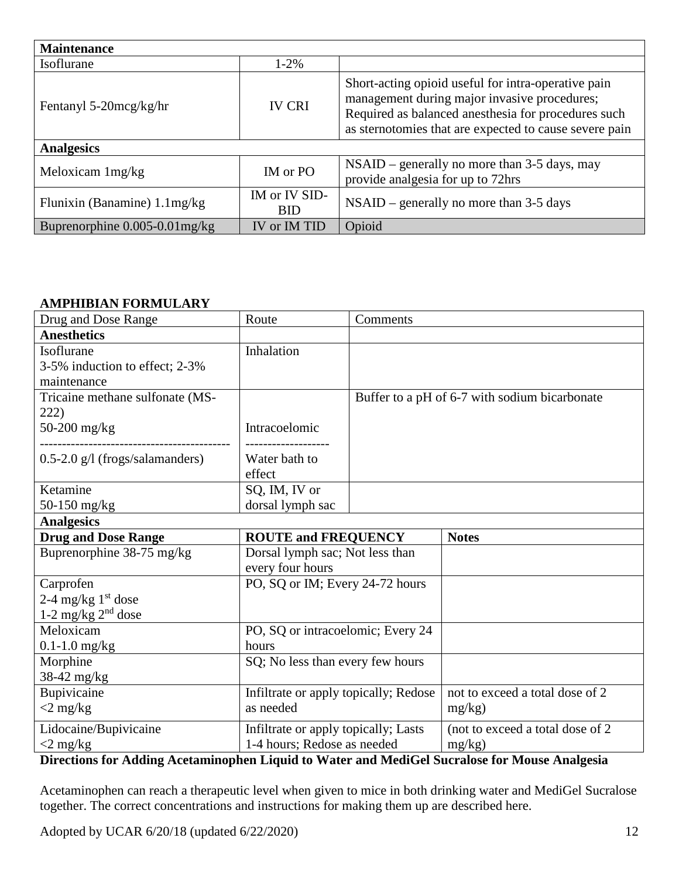| <b>Maintenance</b>                     |                             |                                                                                                                                                                                                                      |
|----------------------------------------|-----------------------------|----------------------------------------------------------------------------------------------------------------------------------------------------------------------------------------------------------------------|
| Isoflurane                             | $1 - 2\%$                   |                                                                                                                                                                                                                      |
| Fentanyl 5-20mcg/kg/hr                 | <b>IV CRI</b>               | Short-acting opioid useful for intra-operative pain<br>management during major invasive procedures;<br>Required as balanced anesthesia for procedures such<br>as sternotomies that are expected to cause severe pain |
| <b>Analgesics</b>                      |                             |                                                                                                                                                                                                                      |
| Meloxicam 1mg/kg                       | IM or PO                    | $NSAID$ – generally no more than 3-5 days, may<br>provide analgesia for up to 72hrs                                                                                                                                  |
| Flunixin (Banamine) $1.1 \text{mg/kg}$ | IM or IV SID-<br><b>BID</b> | $NSAID$ – generally no more than 3-5 days                                                                                                                                                                            |
| Buprenorphine $0.005 - 0.01$ mg/kg     | IV or IM TID                | Opioid                                                                                                                                                                                                               |

#### **AMPHIBIAN FORMULARY**

| Drug and Dose Range               | Route<br>Comments                     |  |                                               |
|-----------------------------------|---------------------------------------|--|-----------------------------------------------|
| <b>Anesthetics</b>                |                                       |  |                                               |
| Isoflurane                        | Inhalation                            |  |                                               |
| 3-5% induction to effect; 2-3%    |                                       |  |                                               |
| maintenance                       |                                       |  |                                               |
| Tricaine methane sulfonate (MS-   |                                       |  | Buffer to a pH of 6-7 with sodium bicarbonate |
| 222)                              |                                       |  |                                               |
| 50-200 mg/kg                      | Intracoelomic                         |  |                                               |
|                                   |                                       |  |                                               |
| $0.5-2.0$ g/l (frogs/salamanders) | Water bath to                         |  |                                               |
|                                   | effect                                |  |                                               |
| Ketamine                          | SQ, IM, IV or                         |  |                                               |
| 50-150 mg/kg                      | dorsal lymph sac                      |  |                                               |
| <b>Analgesics</b>                 |                                       |  |                                               |
| <b>Drug and Dose Range</b>        | <b>ROUTE and FREQUENCY</b>            |  | <b>Notes</b>                                  |
| Buprenorphine 38-75 mg/kg         | Dorsal lymph sac; Not less than       |  |                                               |
|                                   | every four hours                      |  |                                               |
| Carprofen                         | PO, SQ or IM; Every 24-72 hours       |  |                                               |
| 2-4 mg/kg $1st$ dose              |                                       |  |                                               |
| 1-2 mg/kg $2nd$ dose              |                                       |  |                                               |
| Meloxicam                         | PO, SQ or intracoelomic; Every 24     |  |                                               |
| $0.1 - 1.0$ mg/kg                 | hours                                 |  |                                               |
| Morphine                          | SQ; No less than every few hours      |  |                                               |
| 38-42 mg/kg                       |                                       |  |                                               |
| Bupivicaine                       | Infiltrate or apply topically; Redose |  | not to exceed a total dose of 2               |
| $<$ 2 mg/kg                       | as needed                             |  | mg/kg)                                        |
| Lidocaine/Bupivicaine             | Infiltrate or apply topically; Lasts  |  | (not to exceed a total dose of 2              |
| $\langle 2 \rangle$ mg/kg         | 1-4 hours; Redose as needed           |  | $mg/kg$ )                                     |

#### **Directions for Adding Acetaminophen Liquid to Water and MediGel Sucralose for Mouse Analgesia**

Acetaminophen can reach a therapeutic level when given to mice in both drinking water and MediGel Sucralose together. The correct concentrations and instructions for making them up are described here.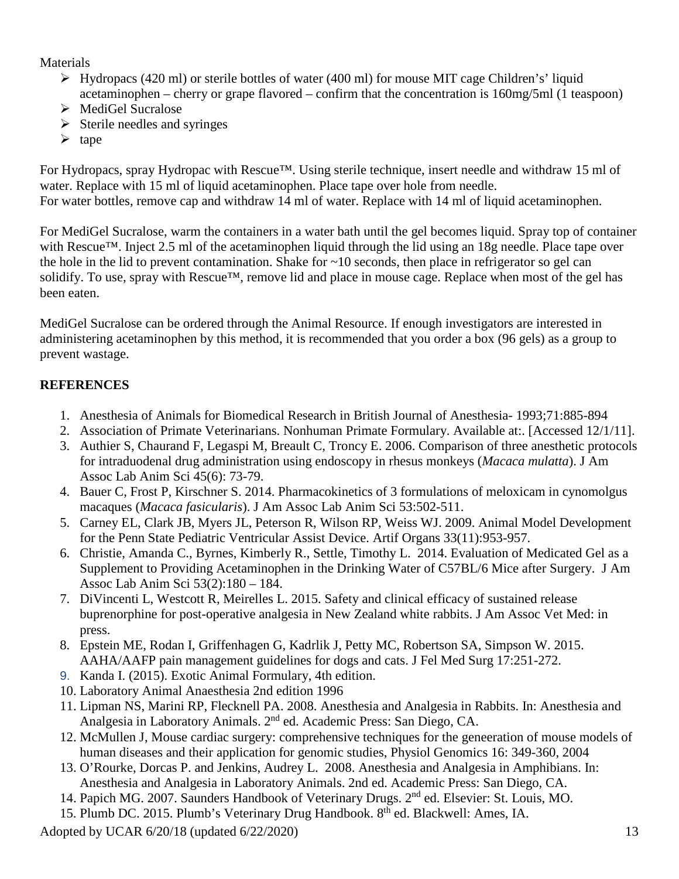### Materials

- $\triangleright$  Hydropacs (420 ml) or sterile bottles of water (400 ml) for mouse MIT cage Children's' liquid acetaminophen – cherry or grape flavored – confirm that the concentration is 160mg/5ml (1 teaspoon)
- MediGel Sucralose
- $\triangleright$  Sterile needles and syringes
- $\triangleright$  tape

For Hydropacs, spray Hydropac with Rescue™. Using sterile technique, insert needle and withdraw 15 ml of water. Replace with 15 ml of liquid acetaminophen. Place tape over hole from needle. For water bottles, remove cap and withdraw 14 ml of water. Replace with 14 ml of liquid acetaminophen.

For MediGel Sucralose, warm the containers in a water bath until the gel becomes liquid. Spray top of container with Rescue™. Inject 2.5 ml of the acetaminophen liquid through the lid using an 18g needle. Place tape over the hole in the lid to prevent contamination. Shake for  $\sim$ 10 seconds, then place in refrigerator so gel can solidify. To use, spray with Rescue™, remove lid and place in mouse cage. Replace when most of the gel has been eaten.

MediGel Sucralose can be ordered through the Animal Resource. If enough investigators are interested in administering acetaminophen by this method, it is recommended that you order a box (96 gels) as a group to prevent wastage.

## **REFERENCES**

- 1. Anesthesia of Animals for Biomedical Research in British Journal of Anesthesia- 1993;71:885-894
- 2. Association of Primate Veterinarians. Nonhuman Primate Formulary. Available at:. [Accessed 12/1/11].
- 3. Authier S, Chaurand F, Legaspi M, Breault C, Troncy E. 2006. Comparison of three anesthetic protocols for intraduodenal drug administration using endoscopy in rhesus monkeys (*Macaca mulatta*). J Am Assoc Lab Anim Sci 45(6): 73-79.
- 4. Bauer C, Frost P, Kirschner S. 2014. Pharmacokinetics of 3 formulations of meloxicam in cynomolgus macaques (*Macaca fasicularis*). J Am Assoc Lab Anim Sci 53:502-511.
- 5. Carney EL, Clark JB, Myers JL, Peterson R, Wilson RP, Weiss WJ. 2009. Animal Model Development for the Penn State Pediatric Ventricular Assist Device. Artif Organs 33(11):953-957.
- 6. Christie, Amanda C., Byrnes, Kimberly R., Settle, Timothy L. 2014. Evaluation of Medicated Gel as a Supplement to Providing Acetaminophen in the Drinking Water of C57BL/6 Mice after Surgery. J Am Assoc Lab Anim Sci 53(2):180 – 184.
- 7. DiVincenti L, Westcott R, Meirelles L. 2015. Safety and clinical efficacy of sustained release buprenorphine for post-operative analgesia in New Zealand white rabbits. J Am Assoc Vet Med: in press.
- 8. Epstein ME, Rodan I, Griffenhagen G, Kadrlik J, Petty MC, Robertson SA, Simpson W. 2015. AAHA/AAFP pain management guidelines for dogs and cats. J Fel Med Surg 17:251-272.
- 9. Kanda I. (2015). Exotic Animal Formulary, 4th edition.
- 10. Laboratory Animal Anaesthesia 2nd edition 1996
- 11. Lipman NS, Marini RP, Flecknell PA. 2008. Anesthesia and Analgesia in Rabbits. In: Anesthesia and Analgesia in Laboratory Animals. 2nd ed. Academic Press: San Diego, CA.
- 12. McMullen J, Mouse cardiac surgery: comprehensive techniques for the geneeration of mouse models of human diseases and their application for genomic studies, Physiol Genomics 16: 349-360, 2004
- 13. O'Rourke, Dorcas P. and Jenkins, Audrey L. 2008. Anesthesia and Analgesia in Amphibians. In: Anesthesia and Analgesia in Laboratory Animals. 2nd ed. Academic Press: San Diego, CA.
- 14. Papich MG. 2007. Saunders Handbook of Veterinary Drugs. 2nd ed. Elsevier: St. Louis, MO.
- 15. Plumb DC. 2015. Plumb's Veterinary Drug Handbook. 8th ed. Blackwell: Ames, IA.
- Adopted by UCAR 6/20/18 (updated 6/22/2020) 13